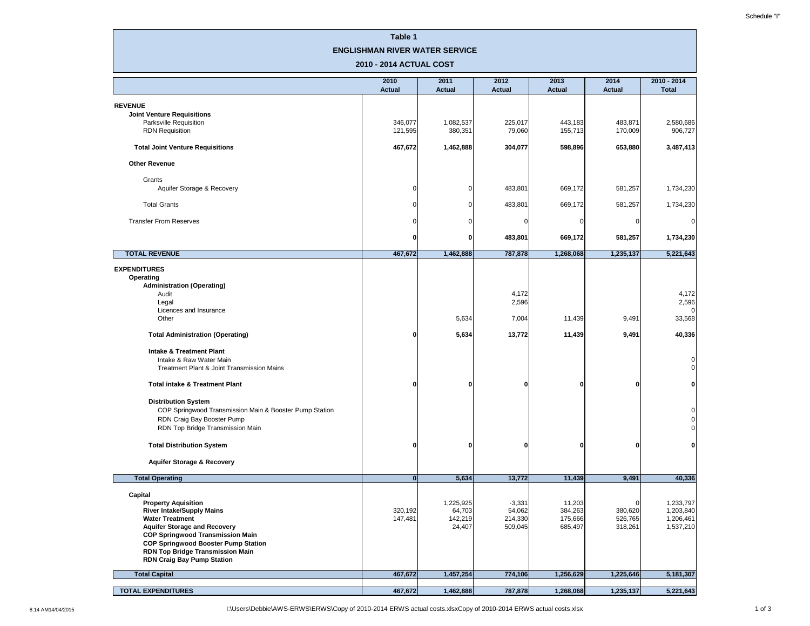## **Table 1**

### **ENGLISHMAN RIVER WATER SERVICE**

| 2010 - 2014 ACTUAL COST                                                                                                                                                                                                                                                                                  |                       |                                          |                                          |                                         |                                    |                                                    |  |
|----------------------------------------------------------------------------------------------------------------------------------------------------------------------------------------------------------------------------------------------------------------------------------------------------------|-----------------------|------------------------------------------|------------------------------------------|-----------------------------------------|------------------------------------|----------------------------------------------------|--|
|                                                                                                                                                                                                                                                                                                          | 2010<br><b>Actual</b> | 2011<br><b>Actual</b>                    | 2012<br><b>Actual</b>                    | 2013<br><b>Actual</b>                   | 2014<br><b>Actual</b>              | $2010 - 2014$<br><b>Total</b>                      |  |
| <b>REVENUE</b>                                                                                                                                                                                                                                                                                           |                       |                                          |                                          |                                         |                                    |                                                    |  |
| <b>Joint Venture Requisitions</b>                                                                                                                                                                                                                                                                        |                       |                                          |                                          |                                         |                                    |                                                    |  |
| <b>Parksville Requisition</b><br><b>RDN Requisition</b>                                                                                                                                                                                                                                                  | 346,077<br>121,595    | 1,082,537<br>380,351                     | 225,017<br>79,060                        | 443,183<br>155,713                      | 483,871<br>170,009                 | 2,580,686<br>906,727                               |  |
| <b>Total Joint Venture Requisitions</b>                                                                                                                                                                                                                                                                  | 467,672               | 1,462,888                                | 304,077                                  | 598,896                                 | 653,880                            | 3,487,413                                          |  |
| <b>Other Revenue</b>                                                                                                                                                                                                                                                                                     |                       |                                          |                                          |                                         |                                    |                                                    |  |
| Grants                                                                                                                                                                                                                                                                                                   |                       |                                          |                                          |                                         |                                    |                                                    |  |
| Aquifer Storage & Recovery                                                                                                                                                                                                                                                                               | $\overline{0}$        |                                          | 483,801                                  | 669,172                                 | 581,257                            | 1,734,230                                          |  |
| <b>Total Grants</b>                                                                                                                                                                                                                                                                                      | $\Omega$              |                                          | 483,801                                  | 669,172                                 | 581,257                            | 1,734,230                                          |  |
| <b>Transfer From Reserves</b>                                                                                                                                                                                                                                                                            | $\Omega$              |                                          |                                          |                                         | $\Omega$                           | $\overline{0}$                                     |  |
|                                                                                                                                                                                                                                                                                                          | $\mathbf{0}$          | ŋ                                        | 483,801                                  | 669,172                                 | 581,257                            | 1,734,230                                          |  |
| <b>TOTAL REVENUE</b>                                                                                                                                                                                                                                                                                     | 467,672               | 1,462,888                                | 787,878                                  | 1,268,068                               | 1,235,137                          | 5,221,643                                          |  |
| <b>EXPENDITURES</b><br><b>Operating</b><br><b>Administration (Operating)</b><br>Audit                                                                                                                                                                                                                    |                       |                                          | 4,172                                    |                                         |                                    | 4,172                                              |  |
| Legal                                                                                                                                                                                                                                                                                                    |                       |                                          | 2,596                                    |                                         |                                    | 2,596                                              |  |
| Licences and Insurance<br>Other                                                                                                                                                                                                                                                                          |                       | 5,634                                    | 7,004                                    | 11,439                                  | 9,491                              | $\overline{0}$<br>33,568                           |  |
| <b>Total Administration (Operating)</b>                                                                                                                                                                                                                                                                  | $\mathbf 0$           | 5,634                                    | 13,772                                   | 11,439                                  | 9,491                              | 40,336                                             |  |
| <b>Intake &amp; Treatment Plant</b><br>Intake & Raw Water Main<br>Treatment Plant & Joint Transmission Mains                                                                                                                                                                                             |                       |                                          |                                          |                                         |                                    | $\overline{0}$<br>$\overline{0}$                   |  |
| <b>Total intake &amp; Treatment Plant</b>                                                                                                                                                                                                                                                                | $\mathbf{0}$          | $\bf{0}$                                 | O                                        | $\mathbf{0}$                            | 0l                                 | $\mathbf{0}$                                       |  |
| <b>Distribution System</b><br>COP Springwood Transmission Main & Booster Pump Station<br>RDN Craig Bay Booster Pump<br>RDN Top Bridge Transmission Main                                                                                                                                                  |                       |                                          |                                          |                                         |                                    | $\overline{0}$<br>$\overline{0}$<br>$\overline{0}$ |  |
| <b>Total Distribution System</b>                                                                                                                                                                                                                                                                         | $\bf{0}$              | ŋ                                        | O                                        | 0                                       | $\bf{0}$                           | $\mathbf{0}$                                       |  |
| <b>Aquifer Storage &amp; Recovery</b>                                                                                                                                                                                                                                                                    |                       |                                          |                                          |                                         |                                    |                                                    |  |
| <b>Total Operating</b>                                                                                                                                                                                                                                                                                   | $\mathbf{0}$          | 5,634                                    | 13,772                                   | 11,439                                  | 9,491                              | 40,336                                             |  |
| <b>Capital</b>                                                                                                                                                                                                                                                                                           |                       |                                          |                                          |                                         |                                    |                                                    |  |
| <b>Property Aquisition</b><br><b>River Intake/Supply Mains</b><br><b>Water Treatment</b><br><b>Aquifer Storage and Recovery</b><br><b>COP Springwood Transmission Main</b><br><b>COP Springwood Booster Pump Station</b><br><b>RDN Top Bridge Transmission Main</b><br><b>RDN Craig Bay Pump Station</b> | 320,192<br>147,481    | 1,225,925<br>64,703<br>142,219<br>24,407 | $-3,331$<br>54,062<br>214,330<br>509,045 | 11,203<br>384,263<br>175,666<br>685,497 | 0<br>380,620<br>526,765<br>318,261 | 1,233,797<br>1,203,840<br>1,206,461<br>1,537,210   |  |
| <b>Total Capital</b>                                                                                                                                                                                                                                                                                     | 467,672               | 1,457,254                                | 774,106                                  | 1,256,629                               | 1,225,646                          | 5,181,307                                          |  |
| <b>TOTAL EXPENDITURES</b>                                                                                                                                                                                                                                                                                | 467,672               | 1,462,888                                | 787,878                                  | 1,268,068                               | 1,235,137                          | 5,221,643                                          |  |

8:14 AM14/04/2015 **I:**\Users\Debbie\AWS-ERWS\ERWS\Copy of 2010-2014 ERWS actual costs.xlsxCopy of 2010-2014 ERWS actual costs.xlsx 3 actual costs.xlsx 3 actual costs.xlsx 3 actual costs.xlsx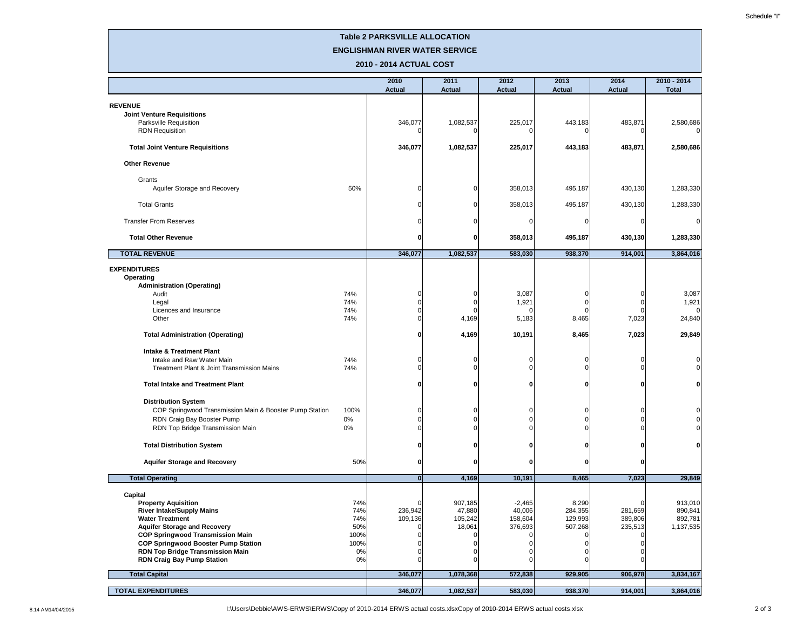# **Table 2 PARKSVILLE ALLOCATION**

| <b>ENGLISHMAN RIVER WATER SERVICE</b><br>2010 - 2014 ACTUAL COST                                        |             |                       |                       |                       |                       |                       |                               |
|---------------------------------------------------------------------------------------------------------|-------------|-----------------------|-----------------------|-----------------------|-----------------------|-----------------------|-------------------------------|
|                                                                                                         |             | 2010<br><b>Actual</b> | 2011<br><b>Actual</b> | 2012<br><b>Actual</b> | 2013<br><b>Actual</b> | 2014<br><b>Actual</b> | $2010 - 2014$<br><b>Total</b> |
| <b>REVENUE</b><br><b>Joint Venture Requisitions</b><br>Parksville Requisition<br><b>RDN Requisition</b> |             | 346,077               | 1,082,537             | 225,017               | 443,183               | 483,871<br>C          | 2,580,686                     |
| <b>Total Joint Venture Requisitions</b>                                                                 |             | 346,077               | 1,082,537             | 225,017               | 443,183               | 483,871               | 2,580,686                     |
| <b>Other Revenue</b>                                                                                    |             |                       |                       |                       |                       |                       |                               |
| Grants<br>Aquifer Storage and Recovery                                                                  | 50%         |                       |                       | 358,013               | 495,187               | 430,130               | 1,283,330                     |
| <b>Total Grants</b>                                                                                     |             |                       | U                     | 358,013               | 495,187               | 430,130               | 1,283,330                     |
| <b>Transfer From Reserves</b>                                                                           |             |                       |                       |                       |                       | C                     | 0                             |
| <b>Total Other Revenue</b>                                                                              |             | n                     | 0                     | 358,013               | 495,187               | 430,130               | 1,283,330                     |
| <b>TOTAL REVENUE</b>                                                                                    |             | 346,077               | 1,082,537             | 583,030               | 938,370               | 914,001               | 3,864,016                     |
| <b>EXPENDITURES</b><br><b>Operating</b><br><b>Administration (Operating)</b><br>Audit                   | 74%         |                       |                       | 3,087                 |                       | C                     | 3,087                         |
| Legal<br>Licences and Insurance                                                                         | 74%         |                       |                       | 1,921                 |                       |                       | 1,921<br>$\Omega$             |
| Other                                                                                                   | 74%<br>74%  |                       | 4,169                 | 5,183                 | 8,465                 | 7,023                 | 24,840                        |
| <b>Total Administration (Operating)</b>                                                                 |             | Ω                     | 4,169                 | 10,191                | 8,465                 | 7,023                 | 29,849                        |
| <b>Intake &amp; Treatment Plant</b><br>Intake and Raw Water Main                                        | 74%         |                       |                       |                       |                       |                       |                               |
| Treatment Plant & Joint Transmission Mains                                                              | 74%         |                       |                       |                       |                       |                       | $\Omega$                      |
| <b>Total Intake and Treatment Plant</b>                                                                 |             |                       | O                     | n                     | n                     | n                     | 0                             |
| <b>Distribution System</b>                                                                              |             |                       |                       |                       |                       |                       |                               |
| COP Springwood Transmission Main & Booster Pump Station<br>RDN Craig Bay Booster Pump                   | 100%<br>0%  |                       |                       |                       |                       |                       | -0                            |
| RDN Top Bridge Transmission Main                                                                        | 0%          |                       |                       |                       |                       |                       | 0                             |
| <b>Total Distribution System</b>                                                                        |             |                       | O                     |                       | 0                     |                       | 0                             |
| <b>Aquifer Storage and Recovery</b>                                                                     | 50%         | 0                     | 0                     |                       | O                     | 0                     |                               |
| <b>Total Operating</b>                                                                                  |             | 0                     | 4,169                 | 10,191                | 8,465                 | 7,023                 | 29,849                        |
| <b>Capital</b>                                                                                          |             |                       |                       |                       |                       |                       |                               |
| <b>Property Aquisition</b>                                                                              | 74%         |                       | 907,185               | $-2,465$              | 8,290                 |                       | 913,010                       |
| <b>River Intake/Supply Mains</b><br><b>Water Treatment</b>                                              | 74%<br>74%  | 236,942<br>109,136    | 47,880<br>105,242     | 40,006<br>158,604     | 284,355<br>129,993    | 281,659<br>389,806    | 890,841<br>892,781            |
| <b>Aquifer Storage and Recovery</b>                                                                     | 50%         |                       | 18,061                | 376,693               | 507,268               | 235,513               | 1,137,535                     |
| <b>COP Springwood Transmission Main</b>                                                                 | 100%        |                       |                       |                       |                       |                       |                               |
| <b>COP Springwood Booster Pump Station</b>                                                              | 100%        |                       |                       |                       |                       |                       |                               |
| <b>RDN Top Bridge Transmission Main</b><br><b>RDN Craig Bay Pump Station</b>                            | 0%<br>$0\%$ |                       |                       |                       |                       |                       |                               |
| <b>Total Capital</b>                                                                                    |             | 346,077               | 1,078,368             | 572,838               | 929,905               | 906,978               | 3,834,167                     |
| <b>TOTAL EXPENDITURES</b>                                                                               |             | 346,077               | 1,082,537             | 583,030               | 938,370               | 914,001               | 3,864,016                     |

8:14 AM14/04/2015 **I:**\Users\Debbie\AWS-ERWS\ERWS\Copy of 2010-2014 ERWS actual costs.xlsxCopy of 2010-2014 ERWS actual costs.xlsx 2 of 3